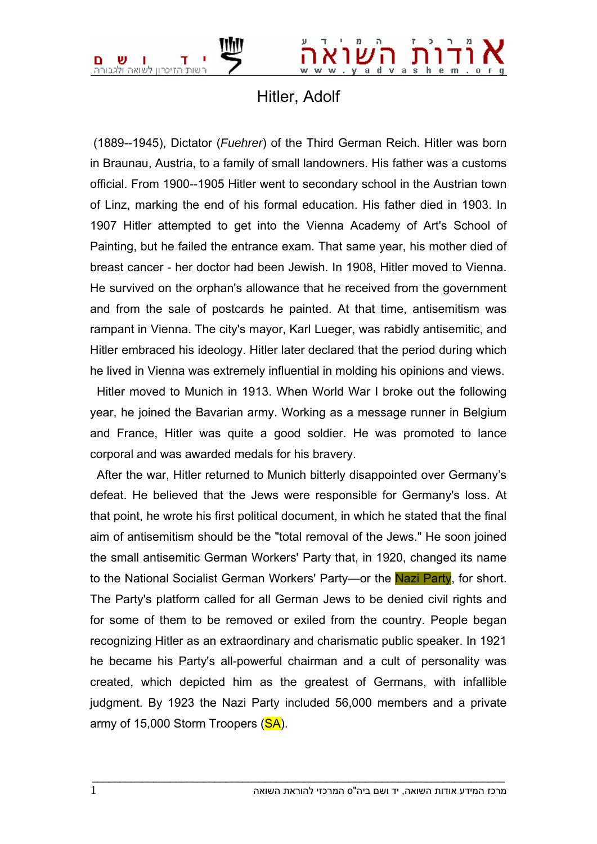

## Hitler, Adolf

 (1889--1945), Dictator (*Fuehrer*) of the Third German Reich. Hitler was born in Braunau, Austria, to a family of small landowners. His father was a customs official. From 1900--1905 Hitler went to secondary school in the Austrian town of Linz, marking the end of his formal education. His father died in 1903. In 1907 Hitler attempted to get into the Vienna Academy of Art's School of Painting, but he failed the entrance exam. That same year, his mother died of breast cancer - her doctor had been Jewish. In 1908, Hitler moved to Vienna. He survived on the orphan's allowance that he received from the government and from the sale of postcards he painted. At that time, antisemitism was rampant in Vienna. The city's mayor, Karl Lueger, was rabidly antisemitic, and Hitler embraced his ideology. Hitler later declared that the period during which he lived in Vienna was extremely influential in molding his opinions and views.

 Hitler moved to Munich in 1913. When World War I broke out the following year, he joined the Bavarian army. Working as a message runner in Belgium and France, Hitler was quite a good soldier. He was promoted to lance corporal and was awarded medals for his bravery.

 After the war, Hitler returned to Munich bitterly disappointed over Germany's defeat. He believed that the Jews were responsible for Germany's loss. At that point, he wrote his first political document, in which he stated that the final aim of antisemitism should be the "total removal of the Jews." He soon joined the small antisemitic German Workers' Party that, in 1920, changed its name to the National Socialist German Workers' Party—or the Nazi Party, for short. The Party's platform called for all German Jews to be denied civil rights and for some of them to be removed or exiled from the country. People began recognizing Hitler as an extraordinary and charismatic public speaker. In 1921 he became his Party's all-powerful chairman and a cult of personality was created, which depicted him as the greatest of Germans, with infallible judgment. By 1923 the Nazi Party included 56,000 members and a private army of 15,000 Storm Troopers (SA).

 $\bot$  , and the set of the set of the set of the set of the set of the set of the set of the set of the set of the set of the set of the set of the set of the set of the set of the set of the set of the set of the set of t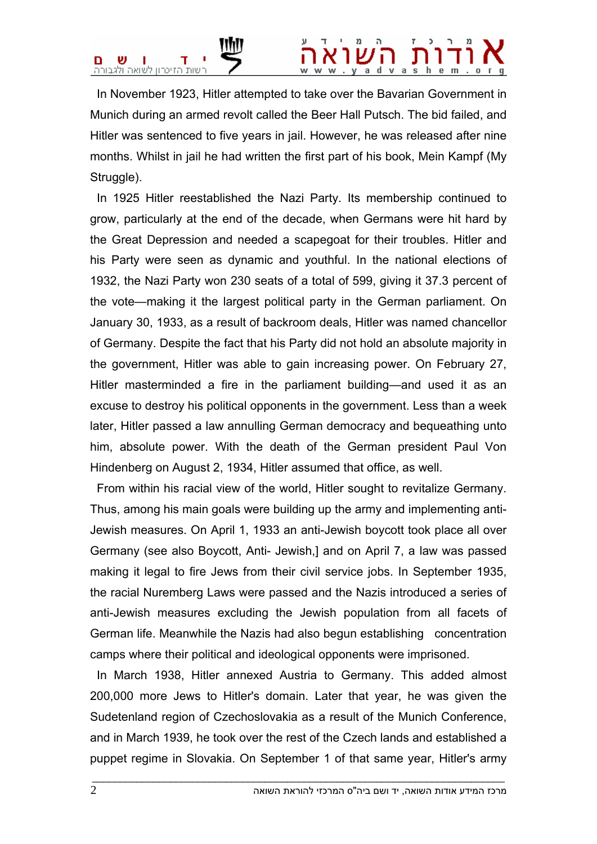## $v a s$

 In November 1923, Hitler attempted to take over the Bavarian Government in Munich during an armed revolt called the Beer Hall Putsch. The bid failed, and Hitler was sentenced to five years in jail. However, he was released after nine months. Whilst in jail he had written the first part of his book, Mein Kampf (My Struggle).

 In 1925 Hitler reestablished the Nazi Party. Its membership continued to grow, particularly at the end of the decade, when Germans were hit hard by the Great Depression and needed a scapegoat for their troubles. Hitler and his Party were seen as dynamic and youthful. In the national elections of 1932, the Nazi Party won 230 seats of a total of 599, giving it 37.3 percent of the vote—making it the largest political party in the German parliament. On January 30, 1933, as a result of backroom deals, Hitler was named chancellor of Germany. Despite the fact that his Party did not hold an absolute majority in the government, Hitler was able to gain increasing power. On February 27, Hitler masterminded a fire in the parliament building—and used it as an excuse to destroy his political opponents in the government. Less than a week later, Hitler passed a law annulling German democracy and bequeathing unto him, absolute power. With the death of the German president Paul Von Hindenberg on August 2, 1934, Hitler assumed that office, as well.

 From within his racial view of the world, Hitler sought to revitalize Germany. Thus, among his main goals were building up the army and implementing anti-Jewish measures. On April 1, 1933 an anti-Jewish boycott took place all over Germany (see also Boycott, Anti- Jewish,] and on April 7, a law was passed making it legal to fire Jews from their civil service jobs. In September 1935, the racial Nuremberg Laws were passed and the Nazis introduced a series of anti-Jewish measures excluding the Jewish population from all facets of German life. Meanwhile the Nazis had also begun establishing concentration camps where their political and ideological opponents were imprisoned.

 In March 1938, Hitler annexed Austria to Germany. This added almost 200,000 more Jews to Hitler's domain. Later that year, he was given the Sudetenland region of Czechoslovakia as a result of the Munich Conference, and in March 1939, he took over the rest of the Czech lands and established a puppet regime in Slovakia. On September 1 of that same year, Hitler's army

 $\bot$  , and the set of the set of the set of the set of the set of the set of the set of the set of the set of the set of the set of the set of the set of the set of the set of the set of the set of the set of the set of t